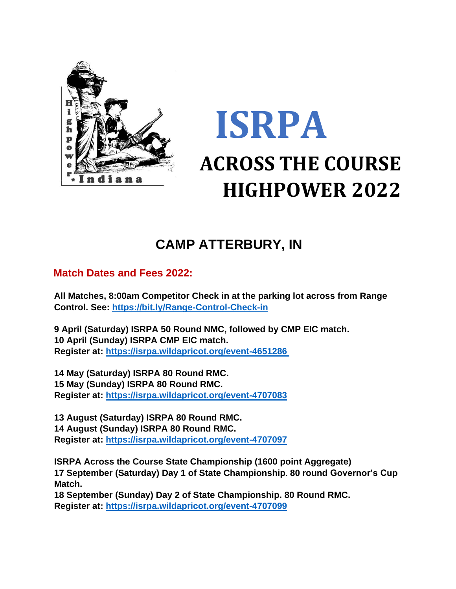

# **ISRPA ACROSS THE COURSE HIGHPOWER 2022**

## **CAMP ATTERBURY, IN**

#### **Match Dates and Fees 2022:**

**All Matches, 8:00am Competitor Check in at the parking lot across from Range Control. See:<https://bit.ly/Range-Control-Check-in>**

**9 April (Saturday) ISRPA 50 Round NMC, followed by CMP EIC match. 10 April (Sunday) ISRPA CMP EIC match. Register at:<https://isrpa.wildapricot.org/event-4651286>**

**14 May (Saturday) ISRPA 80 Round RMC. 15 May (Sunday) ISRPA 80 Round RMC. Register at: https://isrpa.wildapricot.org/event-4707083**

**13 August (Saturday) ISRPA 80 Round RMC. 14 August (Sunday) ISRPA 80 Round RMC. Register at:<https://isrpa.wildapricot.org/event-4707097>**

**ISRPA Across the Course State Championship (1600 point Aggregate) 17 September (Saturday) Day 1 of State Championship**. **80 round Governor's Cup Match.**

**18 September (Sunday) Day 2 of State Championship. 80 Round RMC. Register at: https://isrpa.wildapricot.org/event-4707099**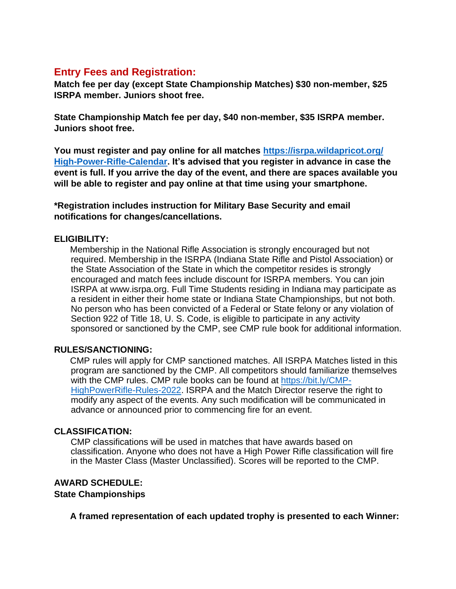#### **Entry Fees and Registration:**

**Match fee per day (except State Championship Matches) \$30 non-member, \$25 ISRPA member. Juniors shoot free.**

**State Championship Match fee per day, \$40 non-member, \$35 ISRPA member. Juniors shoot free.**

**You must register and pay online for all matches https://isrpa.wildapricot.org/ High-Power-Rifle-Calendar. It's advised that you register in advance in case the event is full. If you arrive the day of the event, and there are spaces available you will be able to register and pay online at that time using your smartphone.**

**\*Registration includes instruction for Military Base Security and email notifications for changes/cancellations.** 

#### **ELIGIBILITY:**

Membership in the National Rifle Association is strongly encouraged but not required. Membership in the ISRPA (Indiana State Rifle and Pistol Association) or the State Association of the State in which the competitor resides is strongly encouraged and match fees include discount for ISRPA members. You can join ISRPA at www.isrpa.org. Full Time Students residing in Indiana may participate as a resident in either their home state or Indiana State Championships, but not both. No person who has been convicted of a Federal or State felony or any violation of Section 922 of Title 18, U. S. Code, is eligible to participate in any activity sponsored or sanctioned by the CMP, see CMP rule book for additional information.

#### **RULES/SANCTIONING:**

CMP rules will apply for CMP sanctioned matches. All ISRPA Matches listed in this program are sanctioned by the CMP. All competitors should familiarize themselves with the CMP rules. CMP rule books can be found at [https://bit.ly/CMP-](https://bit.ly/CMP-HighPowerRifle-Rules-2022)[HighPowerRifle-Rules-2022.](https://bit.ly/CMP-HighPowerRifle-Rules-2022) ISRPA and the Match Director reserve the right to modify any aspect of the events. Any such modification will be communicated in advance or announced prior to commencing fire for an event.

#### **CLASSIFICATION:**

CMP classifications will be used in matches that have awards based on classification. Anyone who does not have a High Power Rifle classification will fire in the Master Class (Master Unclassified). Scores will be reported to the CMP.

#### **AWARD SCHEDULE: State Championships**

**A framed representation of each updated trophy is presented to each Winner:**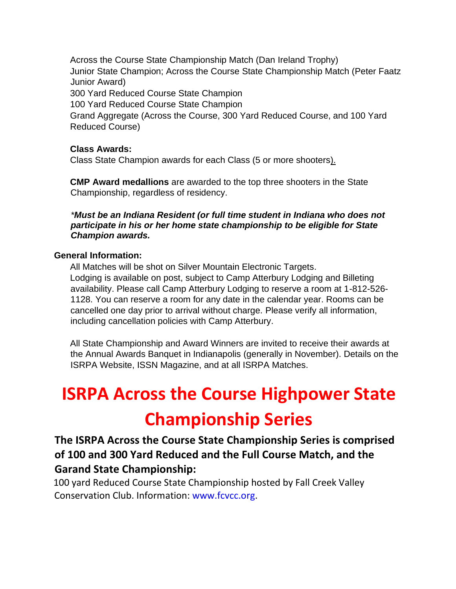Across the Course State Championship Match (Dan Ireland Trophy) Junior State Champion; Across the Course State Championship Match (Peter Faatz Junior Award) 300 Yard Reduced Course State Champion 100 Yard Reduced Course State Champion Grand Aggregate (Across the Course, 300 Yard Reduced Course, and 100 Yard Reduced Course)

#### **Class Awards:**

Class State Champion awards for each Class (5 or more shooters).

**CMP Award medallions** are awarded to the top three shooters in the State Championship, regardless of residency.

*\*Must be an Indiana Resident (or full time student in Indiana who does not participate in his or her home state championship to be eligible for State Champion awards.*

#### **General Information:**

All Matches will be shot on Silver Mountain Electronic Targets. Lodging is available on post, subject to Camp Atterbury Lodging and Billeting availability. Please call Camp Atterbury Lodging to reserve a room at 1-812-526- 1128. You can reserve a room for any date in the calendar year. Rooms can be cancelled one day prior to arrival without charge. Please verify all information, including cancellation policies with Camp Atterbury.

All State Championship and Award Winners are invited to receive their awards at the Annual Awards Banquet in Indianapolis (generally in November). Details on the ISRPA Website, ISSN Magazine, and at all ISRPA Matches.

# **ISRPA Across the Course Highpower State Championship Series**

### **The ISRPA Across the Course State Championship Series is comprised of 100 and 300 Yard Reduced and the Full Course Match, and the Garand State Championship:**

100 yard Reduced Course State Championship hosted by Fall Creek Valley Conservation Club. Information: www.fcvcc.org.